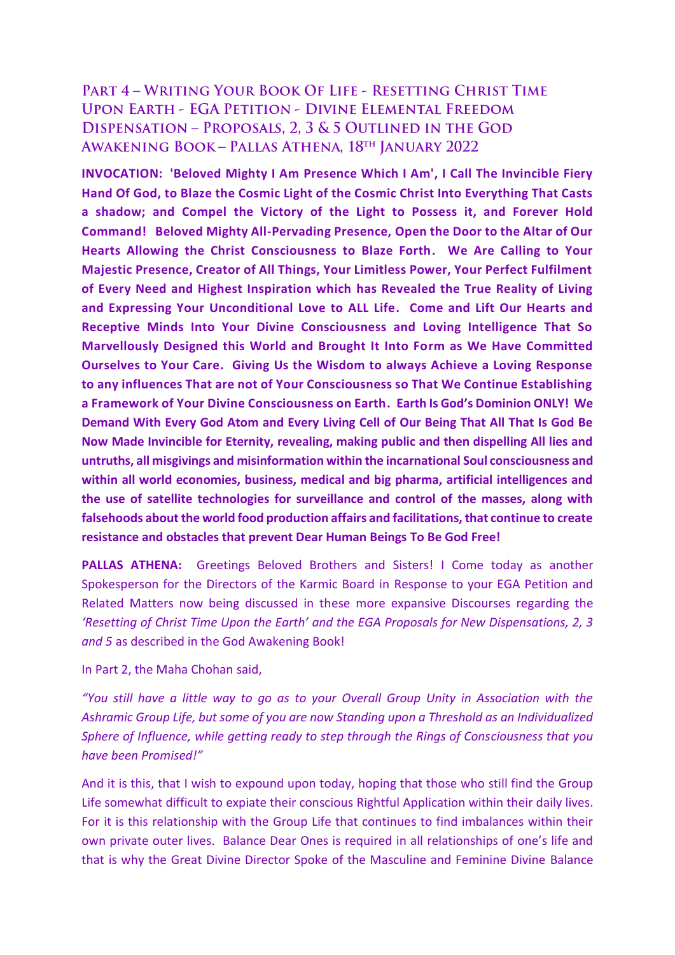## PART 4 - WRITING YOUR BOOK OF LIFE - RESETTING CHRIST TIME **UPON EARTH - EGA PETITION - DIVINE ELEMENTAL FREEDOM** DISPENSATION - PROPOSALS, 2, 3 & 5 OUTLINED IN THE GOD **AWAKENING BOOK - PALLAS ATHENA, 18TH JANUARY 2022**

**INVOCATION: 'Beloved Mighty I Am Presence Which I Am', I Call The Invincible Fiery Hand Of God, to Blaze the Cosmic Light of the Cosmic Christ Into Everything That Casts a shadow; and Compel the Victory of the Light to Possess it, and Forever Hold Command! Beloved Mighty All-Pervading Presence, Open the Door to the Altar of Our Hearts Allowing the Christ Consciousness to Blaze Forth. We Are Calling to Your Majestic Presence, Creator of All Things, Your Limitless Power, Your Perfect Fulfilment of Every Need and Highest Inspiration which has Revealed the True Reality of Living and Expressing Your Unconditional Love to ALL Life. Come and Lift Our Hearts and Receptive Minds Into Your Divine Consciousness and Loving Intelligence That So Marvellously Designed this World and Brought It Into Form as We Have Committed Ourselves to Your Care. Giving Us the Wisdom to always Achieve a Loving Response to any influences That are not of Your Consciousness so That We Continue Establishing a Framework of Your Divine Consciousness on Earth. Earth Is God's Dominion ONLY! We Demand With Every God Atom and Every Living Cell of Our Being That All That Is God Be Now Made Invincible for Eternity, revealing, making public and then dispelling All lies and untruths, all misgivings and misinformation within the incarnational Soul consciousness and within all world economies, business, medical and big pharma, artificial intelligences and the use of satellite technologies for surveillance and control of the masses, along with falsehoods about the world food production affairs and facilitations, that continue to create resistance and obstacles that prevent Dear Human Beings To Be God Free!**

**PALLAS ATHENA:** Greetings Beloved Brothers and Sisters! I Come today as another Spokesperson for the Directors of the Karmic Board in Response to your EGA Petition and Related Matters now being discussed in these more expansive Discourses regarding the *'Resetting of Christ Time Upon the Earth' and the EGA Proposals for New Dispensations, 2, 3 and 5* as described in the God Awakening Book!

## In Part 2, the Maha Chohan said,

*"You still have a little way to go as to your Overall Group Unity in Association with the Ashramic Group Life, but some of you are now Standing upon a Threshold as an Individualized Sphere of Influence, while getting ready to step through the Rings of Consciousness that you have been Promised!"* 

And it is this, that I wish to expound upon today, hoping that those who still find the Group Life somewhat difficult to expiate their conscious Rightful Application within their daily lives. For it is this relationship with the Group Life that continues to find imbalances within their own private outer lives. Balance Dear Ones is required in all relationships of one's life and that is why the Great Divine Director Spoke of the Masculine and Feminine Divine Balance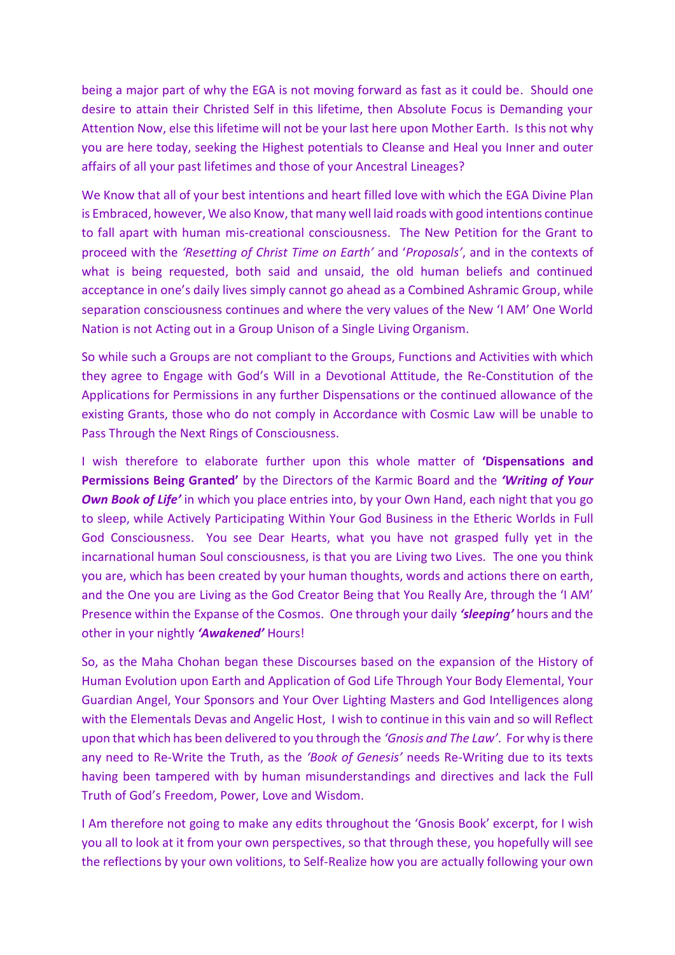being a major part of why the EGA is not moving forward as fast as it could be. Should one desire to attain their Christed Self in this lifetime, then Absolute Focus is Demanding your Attention Now, else this lifetime will not be your last here upon Mother Earth. Is this not why you are here today, seeking the Highest potentials to Cleanse and Heal you Inner and outer affairs of all your past lifetimes and those of your Ancestral Lineages?

We Know that all of your best intentions and heart filled love with which the EGA Divine Plan is Embraced, however, We also Know, that many well laid roads with good intentions continue to fall apart with human mis-creational consciousness. The New Petition for the Grant to proceed with the *'Resetting of Christ Time on Earth'* and '*Proposals'*, and in the contexts of what is being requested, both said and unsaid, the old human beliefs and continued acceptance in one's daily lives simply cannot go ahead as a Combined Ashramic Group, while separation consciousness continues and where the very values of the New 'I AM' One World Nation is not Acting out in a Group Unison of a Single Living Organism.

So while such a Groups are not compliant to the Groups, Functions and Activities with which they agree to Engage with God's Will in a Devotional Attitude, the Re-Constitution of the Applications for Permissions in any further Dispensations or the continued allowance of the existing Grants, those who do not comply in Accordance with Cosmic Law will be unable to Pass Through the Next Rings of Consciousness.

I wish therefore to elaborate further upon this whole matter of **'Dispensations and Permissions Being Granted'** by the Directors of the Karmic Board and the *'Writing of Your Own Book of Life'* in which you place entries into, by your Own Hand, each night that you go to sleep, while Actively Participating Within Your God Business in the Etheric Worlds in Full God Consciousness. You see Dear Hearts, what you have not grasped fully yet in the incarnational human Soul consciousness, is that you are Living two Lives. The one you think you are, which has been created by your human thoughts, words and actions there on earth, and the One you are Living as the God Creator Being that You Really Are, through the 'I AM' Presence within the Expanse of the Cosmos. One through your daily *'sleeping'* hours and the other in your nightly *'Awakened'* Hours!

So, as the Maha Chohan began these Discourses based on the expansion of the History of Human Evolution upon Earth and Application of God Life Through Your Body Elemental, Your Guardian Angel, Your Sponsors and Your Over Lighting Masters and God Intelligences along with the Elementals Devas and Angelic Host, I wish to continue in this vain and so will Reflect upon that which has been delivered to you through the *'Gnosis and The Law'*. For why is there any need to Re-Write the Truth, as the *'Book of Genesis'* needs Re-Writing due to its texts having been tampered with by human misunderstandings and directives and lack the Full Truth of God's Freedom, Power, Love and Wisdom.

I Am therefore not going to make any edits throughout the 'Gnosis Book' excerpt, for I wish you all to look at it from your own perspectives, so that through these, you hopefully will see the reflections by your own volitions, to Self-Realize how you are actually following your own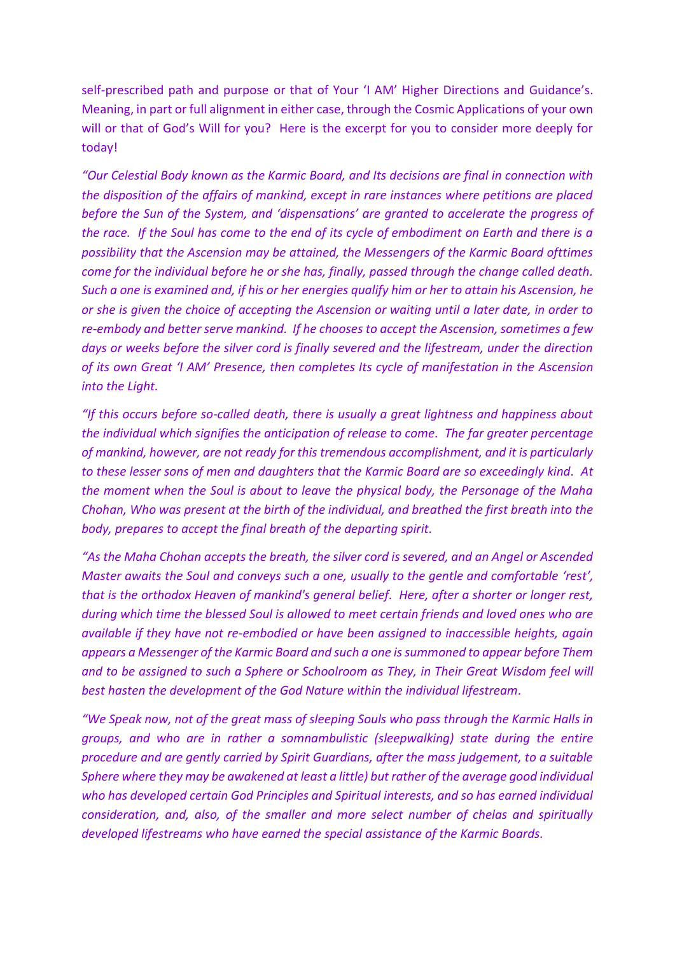self-prescribed path and purpose or that of Your 'I AM' Higher Directions and Guidance's. Meaning, in part or full alignment in either case, through the Cosmic Applications of your own will or that of God's Will for you? Here is the excerpt for you to consider more deeply for today!

*"Our Celestial Body known as the Karmic Board, and Its decisions are final in connection with the disposition of the affairs of mankind, except in rare instances where petitions are placed before the Sun of the System, and 'dispensations' are granted to accelerate the progress of the race. If the Soul has come to the end of its cycle of embodiment on Earth and there is a possibility that the Ascension may be attained, the Messengers of the Karmic Board ofttimes come for the individual before he or she has, finally, passed through the change called death. Such a one is examined and, if his or her energies qualify him or her to attain his Ascension, he or she is given the choice of accepting the Ascension or waiting until a later date, in order to re-embody and better serve mankind. If he chooses to accept the Ascension, sometimes a few days or weeks before the silver cord is finally severed and the lifestream, under the direction of its own Great 'I AM' Presence, then completes Its cycle of manifestation in the Ascension into the Light.* 

*"If this occurs before so-called death, there is usually a great lightness and happiness about the individual which signifies the anticipation of release to come. The far greater percentage of mankind, however, are not ready for this tremendous accomplishment, and it is particularly to these lesser sons of men and daughters that the Karmic Board are so exceedingly kind. At the moment when the Soul is about to leave the physical body, the Personage of the Maha Chohan, Who was present at the birth of the individual, and breathed the first breath into the body, prepares to accept the final breath of the departing spirit.* 

*"As the Maha Chohan accepts the breath, the silver cord is severed, and an Angel or Ascended Master awaits the Soul and conveys such a one, usually to the gentle and comfortable 'rest', that is the orthodox Heaven of mankind's general belief. Here, after a shorter or longer rest, during which time the blessed Soul is allowed to meet certain friends and loved ones who are available if they have not re-embodied or have been assigned to inaccessible heights, again appears a Messenger of the Karmic Board and such a one is summoned to appear before Them and to be assigned to such a Sphere or Schoolroom as They, in Their Great Wisdom feel will best hasten the development of the God Nature within the individual lifestream.* 

*"We Speak now, not of the great mass of sleeping Souls who pass through the Karmic Halls in groups, and who are in rather a somnambulistic (sleepwalking) state during the entire procedure and are gently carried by Spirit Guardians, after the mass judgement, to a suitable Sphere where they may be awakened at least a little) but rather of the average good individual who has developed certain God Principles and Spiritual interests, and so has earned individual consideration, and, also, of the smaller and more select number of chelas and spiritually developed lifestreams who have earned the special assistance of the Karmic Boards.*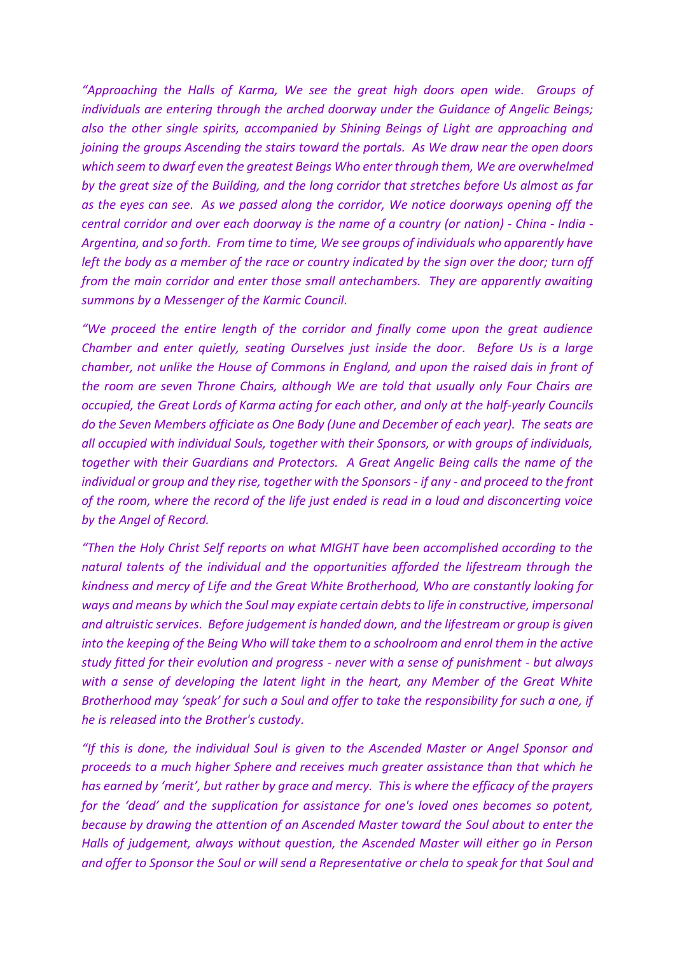*"Approaching the Halls of Karma, We see the great high doors open wide. Groups of individuals are entering through the arched doorway under the Guidance of Angelic Beings; also the other single spirits, accompanied by Shining Beings of Light are approaching and joining the groups Ascending the stairs toward the portals. As We draw near the open doors which seem to dwarf even the greatest Beings Who enter through them, We are overwhelmed by the great size of the Building, and the long corridor that stretches before Us almost as far as the eyes can see. As we passed along the corridor, We notice doorways opening off the central corridor and over each doorway is the name of a country (or nation) - China - India - Argentina, and so forth. From time to time, We see groups of individuals who apparently have left the body as a member of the race or country indicated by the sign over the door; turn off from the main corridor and enter those small antechambers. They are apparently awaiting summons by a Messenger of the Karmic Council.* 

*"We proceed the entire length of the corridor and finally come upon the great audience Chamber and enter quietly, seating Ourselves just inside the door. Before Us is a large chamber, not unlike the House of Commons in England, and upon the raised dais in front of the room are seven Throne Chairs, although We are told that usually only Four Chairs are occupied, the Great Lords of Karma acting for each other, and only at the half-yearly Councils do the Seven Members officiate as One Body (June and December of each year). The seats are all occupied with individual Souls, together with their Sponsors, or with groups of individuals, together with their Guardians and Protectors. A Great Angelic Being calls the name of the individual or group and they rise, together with the Sponsors - if any - and proceed to the front of the room, where the record of the life just ended is read in a loud and disconcerting voice by the Angel of Record.* 

*"Then the Holy Christ Self reports on what MIGHT have been accomplished according to the natural talents of the individual and the opportunities afforded the lifestream through the kindness and mercy of Life and the Great White Brotherhood, Who are constantly looking for ways and means by which the Soul may expiate certain debts to life in constructive, impersonal and altruistic services. Before judgement is handed down, and the lifestream or group is given into the keeping of the Being Who will take them to a schoolroom and enrol them in the active study fitted for their evolution and progress - never with a sense of punishment - but always with a sense of developing the latent light in the heart, any Member of the Great White Brotherhood may 'speak' for such a Soul and offer to take the responsibility for such a one, if he is released into the Brother's custody.* 

*"If this is done, the individual Soul is given to the Ascended Master or Angel Sponsor and proceeds to a much higher Sphere and receives much greater assistance than that which he has earned by 'merit', but rather by grace and mercy. This is where the efficacy of the prayers for the 'dead' and the supplication for assistance for one's loved ones becomes so potent, because by drawing the attention of an Ascended Master toward the Soul about to enter the Halls of judgement, always without question, the Ascended Master will either go in Person and offer to Sponsor the Soul or will send a Representative or chela to speak for that Soul and*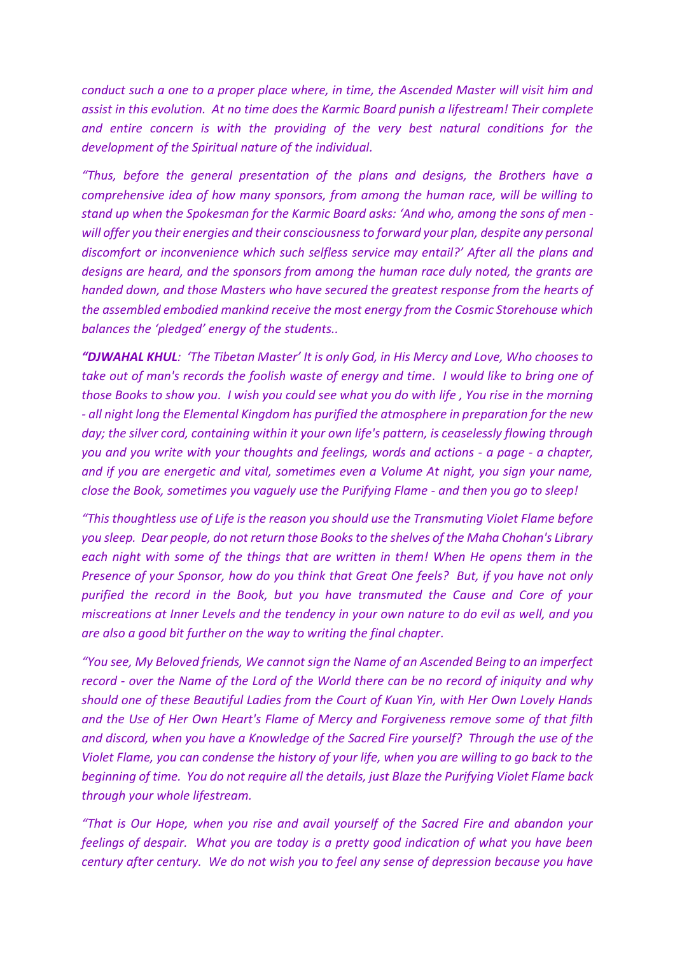*conduct such a one to a proper place where, in time, the Ascended Master will visit him and assist in this evolution. At no time does the Karmic Board punish a lifestream! Their complete and entire concern is with the providing of the very best natural conditions for the development of the Spiritual nature of the individual.*

*"Thus, before the general presentation of the plans and designs, the Brothers have a comprehensive idea of how many sponsors, from among the human race, will be willing to stand up when the Spokesman for the Karmic Board asks: 'And who, among the sons of men*  will offer you their energies and their consciousness to forward your plan, despite any personal *discomfort or inconvenience which such selfless service may entail?' After all the plans and designs are heard, and the sponsors from among the human race duly noted, the grants are handed down, and those Masters who have secured the greatest response from the hearts of the assembled embodied mankind receive the most energy from the Cosmic Storehouse which balances the 'pledged' energy of the students..*

*"DJWAHAL KHUL: 'The Tibetan Master' It is only God, in His Mercy and Love, Who chooses to take out of man's records the foolish waste of energy and time. I would like to bring one of those Books to show you. I wish you could see what you do with life , You rise in the morning - all night long the Elemental Kingdom has purified the atmosphere in preparation for the new day; the silver cord, containing within it your own life's pattern, is ceaselessly flowing through you and you write with your thoughts and feelings, words and actions - a page - a chapter, and if you are energetic and vital, sometimes even a Volume At night, you sign your name, close the Book, sometimes you vaguely use the Purifying Flame - and then you go to sleep!* 

*"This thoughtless use of Life is the reason you should use the Transmuting Violet Flame before you sleep. Dear people, do not return those Books to the shelves of the Maha Chohan's Library each night with some of the things that are written in them! When He opens them in the Presence of your Sponsor, how do you think that Great One feels? But, if you have not only purified the record in the Book, but you have transmuted the Cause and Core of your miscreations at Inner Levels and the tendency in your own nature to do evil as well, and you are also a good bit further on the way to writing the final chapter.* 

*"You see, My Beloved friends, We cannot sign the Name of an Ascended Being to an imperfect record - over the Name of the Lord of the World there can be no record of iniquity and why should one of these Beautiful Ladies from the Court of Kuan Yin, with Her Own Lovely Hands and the Use of Her Own Heart's Flame of Mercy and Forgiveness remove some of that filth and discord, when you have a Knowledge of the Sacred Fire yourself? Through the use of the Violet Flame, you can condense the history of your life, when you are willing to go back to the beginning of time. You do not require all the details, just Blaze the Purifying Violet Flame back through your whole lifestream.* 

*"That is Our Hope, when you rise and avail yourself of the Sacred Fire and abandon your feelings of despair. What you are today is a pretty good indication of what you have been century after century. We do not wish you to feel any sense of depression because you have*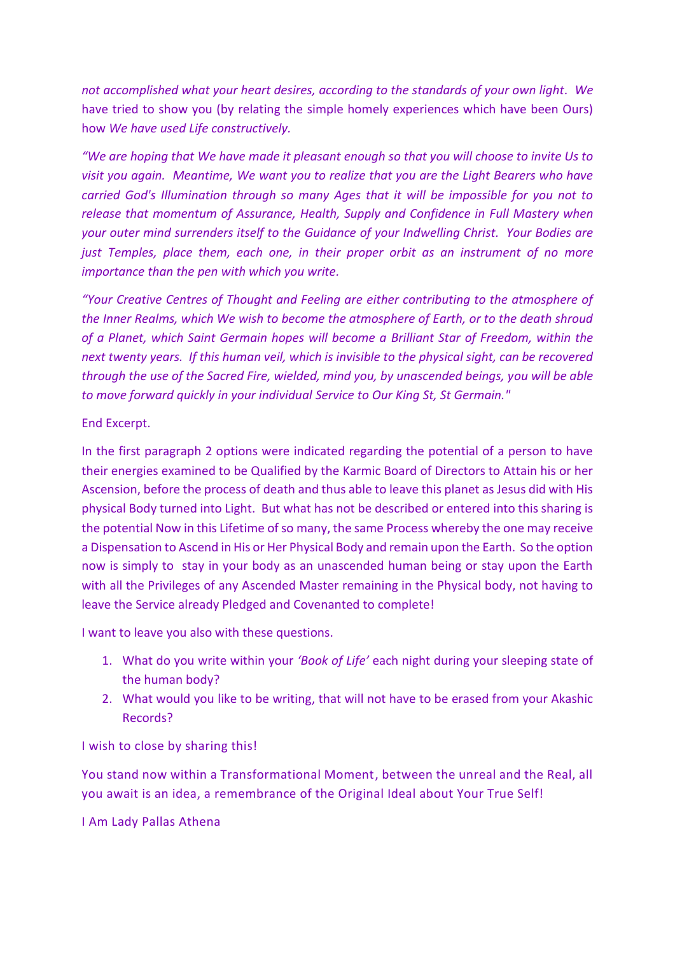*not accomplished what your heart desires, according to the standards of your own light. We*  have tried to show you (by relating the simple homely experiences which have been Ours) how *We have used Life constructively.* 

*"We are hoping that We have made it pleasant enough so that you will choose to invite Us to visit you again. Meantime, We want you to realize that you are the Light Bearers who have carried God's Illumination through so many Ages that it will be impossible for you not to release that momentum of Assurance, Health, Supply and Confidence in Full Mastery when your outer mind surrenders itself to the Guidance of your Indwelling Christ. Your Bodies are just Temples, place them, each one, in their proper orbit as an instrument of no more importance than the pen with which you write.* 

*"Your Creative Centres of Thought and Feeling are either contributing to the atmosphere of the Inner Realms, which We wish to become the atmosphere of Earth, or to the death shroud of a Planet, which Saint Germain hopes will become a Brilliant Star of Freedom, within the next twenty years. If this human veil, which is invisible to the physical sight, can be recovered through the use of the Sacred Fire, wielded, mind you, by unascended beings, you will be able to move forward quickly in your individual Service to Our King St, St Germain."*

## End Excerpt.

In the first paragraph 2 options were indicated regarding the potential of a person to have their energies examined to be Qualified by the Karmic Board of Directors to Attain his or her Ascension, before the process of death and thus able to leave this planet as Jesus did with His physical Body turned into Light. But what has not be described or entered into this sharing is the potential Now in this Lifetime of so many, the same Process whereby the one may receive a Dispensation to Ascend in His or Her Physical Body and remain upon the Earth. So the option now is simply to stay in your body as an unascended human being or stay upon the Earth with all the Privileges of any Ascended Master remaining in the Physical body, not having to leave the Service already Pledged and Covenanted to complete!

I want to leave you also with these questions.

- 1. What do you write within your *'Book of Life'* each night during your sleeping state of the human body?
- 2. What would you like to be writing, that will not have to be erased from your Akashic Records?

I wish to close by sharing this!

You stand now within a Transformational Moment, between the unreal and the Real, all you await is an idea, a remembrance of the Original Ideal about Your True Self!

I Am Lady Pallas Athena